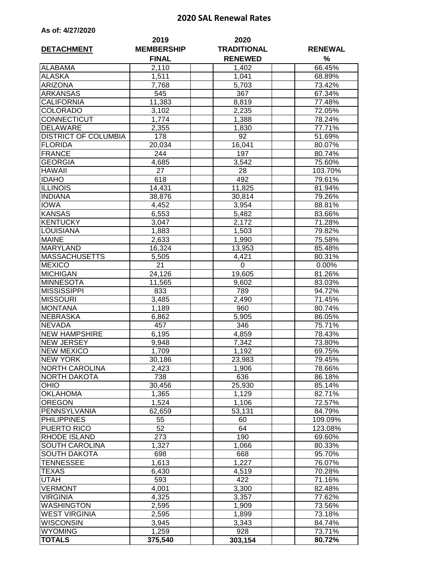## **2020 SAL Renewal Rates**

| As of: 4/27/2020 |  |  |
|------------------|--|--|
|------------------|--|--|

| <b>DETACHMENT</b>           | 2019<br><b>MEMBERSHIP</b> | 2020<br><b>TRADITIONAL</b> | <b>RENEWAL</b>   |
|-----------------------------|---------------------------|----------------------------|------------------|
|                             | <b>FINAL</b>              | <b>RENEWED</b>             | %                |
| <b>ALABAMA</b>              | 2,110                     | 1,402                      | 66.45%           |
| <b>ALASKA</b>               | 1,511                     | 1,041                      | 68.89%           |
| <b>ARIZONA</b>              | 7,768                     | 5,703                      | 73.42%           |
| <b>ARKANSAS</b>             | 545                       | 367                        | 67.34%           |
| <b>CALIFORNIA</b>           | 11,383                    | 8,819                      | 77.48%           |
| <b>COLORADO</b>             | 3,102                     | 2,235                      | 72.05%           |
| CONNECTICUT                 | 1,774                     | 1,388                      | 78.24%           |
| <b>DELAWARE</b>             | 2,355                     | 1,830                      | 77.71%           |
| <b>DISTRICT OF COLUMBIA</b> | 178                       | 92                         | 51.69%           |
| <b>FLORIDA</b>              | 20,034                    | 16,041                     | 80.07%           |
| <b>FRANCE</b>               | 244                       | 197                        | 80.74%           |
| <b>GEORGIA</b>              | 4,685                     | 3,542                      | 75.60%           |
| <b>HAWAII</b>               | 27                        | 28                         | 103.70%          |
| <b>IDAHO</b>                | 618                       | 492                        | 79.61%           |
| <b>ILLINOIS</b>             | 14,431                    | 11,825                     | 81.94%           |
| <b>INDIANA</b>              | 38,876                    | 30,814                     | 79.26%           |
| <b>IOWA</b>                 | 4,452                     | 3,954                      | 88.81%           |
| <b>KANSAS</b>               | 6,553                     | 5,482                      | 83.66%           |
| <b>KENTUCKY</b>             | 3,047                     | 2,172                      | 71.28%           |
| LOUISIANA                   | 1,883                     | 1,503                      | 79.82%           |
| <b>MAINE</b>                | 2,633                     | 1,990                      | 75.58%           |
| <b>MARYLAND</b>             | 16,324                    | 13,953                     | 85.48%           |
| <b>MASSACHUSETTS</b>        | 5,505                     | 4,421                      | 80.31%           |
| <b>MEXICO</b>               | $\overline{2}1$           | $\mathbf 0$                | 0.00%            |
| <b>MICHIGAN</b>             | 24,126                    | 19,605                     | 81.26%           |
| <b>MINNESOTA</b>            | 11,565                    | 9,602                      | 83.03%           |
| <b>MISSISSIPPI</b>          | 833                       | 789                        | 94.72%           |
| <b>MISSOURI</b>             | 3,485                     | $\overline{2,}490$         | 71.45%           |
| <b>MONTANA</b>              | 1,189                     | 960                        | 80.74%           |
| <b>NEBRASKA</b>             | 6,862                     | 5,905                      | 86.05%           |
| <b>NEVADA</b>               | 457                       | 346                        | 75.71%           |
| <b>NEW HAMPSHIRE</b>        | 6,195                     | 4,859                      | 78.43%           |
| <b>NEW JERSEY</b>           | 9,948                     | 7,342                      | 73.80%           |
| <b>NEW MEXICO</b>           | 1,709                     | 1,192                      | 69.75%           |
| <b>NEW YORK</b>             | 30,186                    | 23,983                     | 79.45%           |
| <b>NORTH CAROLINA</b>       | 2,423                     |                            |                  |
| NORTH DAKOTA                | 738                       | 1,906<br>636               | 78.66%<br>86.18% |
| <b>OHIO</b>                 | 30,456                    | 25,930                     | 85.14%           |
| <b>OKLAHOMA</b>             | 1,365                     | 1,129                      | 82.71%           |
| <b>OREGON</b>               | 1,524                     | 1,106                      | 72.57%           |
| PENNSYLVANIA                | 62,659                    | 53,131                     | 84.79%           |
| <b>PHILIPPINES</b>          | 55                        | 60                         | 109.09%          |
| PUERTO RICO                 | 52                        | 64                         | 123.08%          |
| <b>RHODE ISLAND</b>         | 273                       | 190                        |                  |
| SOUTH CAROLINA              | $\overline{1,}327$        |                            | 69.60%           |
| <b>SOUTH DAKOTA</b>         | 698                       | 1,066<br>668               | 80.33%<br>95.70% |
| TENNESSEE                   | 1,613                     |                            |                  |
|                             |                           | 1,227                      | 76.07%           |
| TEXAS                       | 6,430                     | 4,519                      | 70.28%           |
| UTAH                        | 593                       | 422                        | 71.16%           |
| <b>VERMONT</b>              | 4,001                     | 3,300                      | 82.48%           |
| <b>VIRGINIA</b>             | 4,325                     | 3,357                      | 77.62%           |
| <b>WASHINGTON</b>           | 2,595                     | 1,909                      | 73.56%           |
| <b>WEST VIRGINIA</b>        | 2,595                     | 1,899                      | 73.18%           |
| <b>WISCONSIN</b>            | 3,945                     | 3,343                      | 84.74%           |
| <b>WYOMING</b>              | 1,259                     | 928                        | 73.71%           |
| <b>TOTALS</b>               | 375,540                   | 303,154                    | 80.72%           |